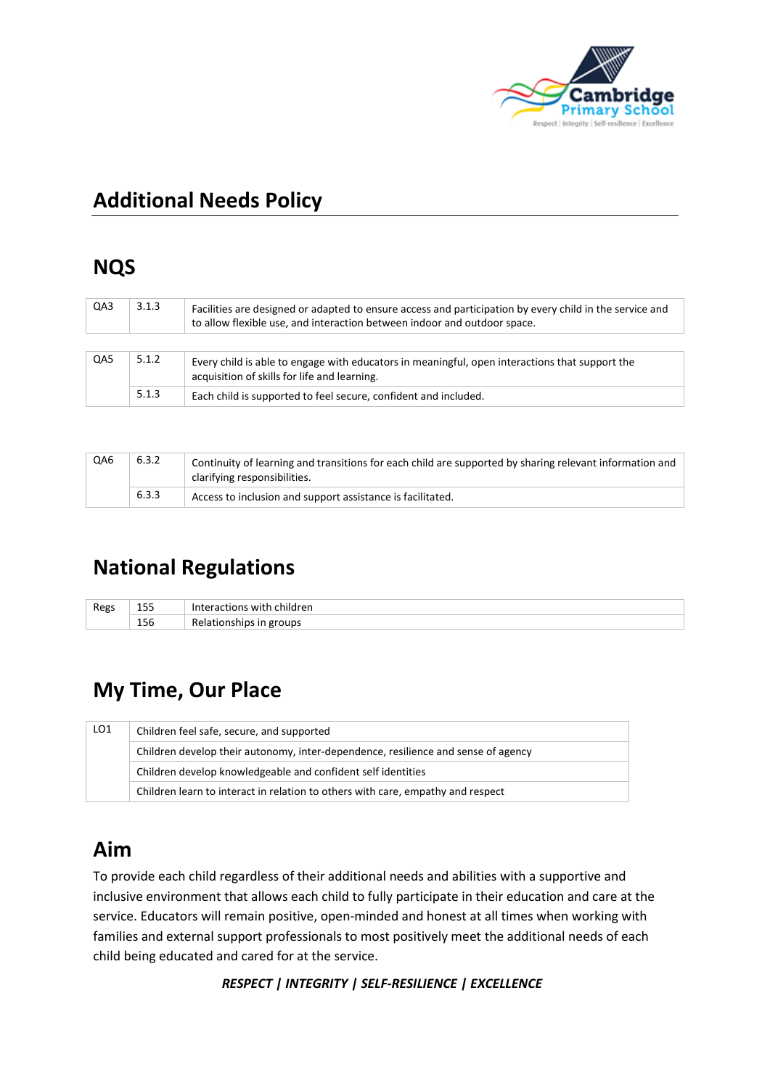

# **Additional Needs Policy**

### **NQS**

| QA3 | 3.1.3 | Facilities are designed or adapted to ensure access and participation by every child in the service and<br>to allow flexible use, and interaction between indoor and outdoor space. |  |
|-----|-------|-------------------------------------------------------------------------------------------------------------------------------------------------------------------------------------|--|
|     |       |                                                                                                                                                                                     |  |
| QA5 | 5.1.2 | Every child is able to engage with educators in meaningful, open interactions that support the<br>acquisition of skills for life and learning.                                      |  |
|     | 5.1.3 | Each child is supported to feel secure, confident and included.                                                                                                                     |  |

| QA6 | 6.3.2 | Continuity of learning and transitions for each child are supported by sharing relevant information and<br>clarifying responsibilities. |
|-----|-------|-----------------------------------------------------------------------------------------------------------------------------------------|
|     | 6.3.3 | Access to inclusion and support assistance is facilitated.                                                                              |

# **National Regulations**

| Regs | .<br>--<br>-- | children<br>$ + -$<br>tions<br>wr |
|------|---------------|-----------------------------------|
|      | . .<br>156    | groups<br>۰۰۰ دuااان              |

# **My Time, Our Place**

| LO1 | Children feel safe, secure, and supported                                         |  |  |
|-----|-----------------------------------------------------------------------------------|--|--|
|     | Children develop their autonomy, inter-dependence, resilience and sense of agency |  |  |
|     | Children develop knowledgeable and confident self identities                      |  |  |
|     | Children learn to interact in relation to others with care, empathy and respect   |  |  |

### **Aim**

To provide each child regardless of their additional needs and abilities with a supportive and inclusive environment that allows each child to fully participate in their education and care at the service. Educators will remain positive, open-minded and honest at all times when working with families and external support professionals to most positively meet the additional needs of each child being educated and cared for at the service.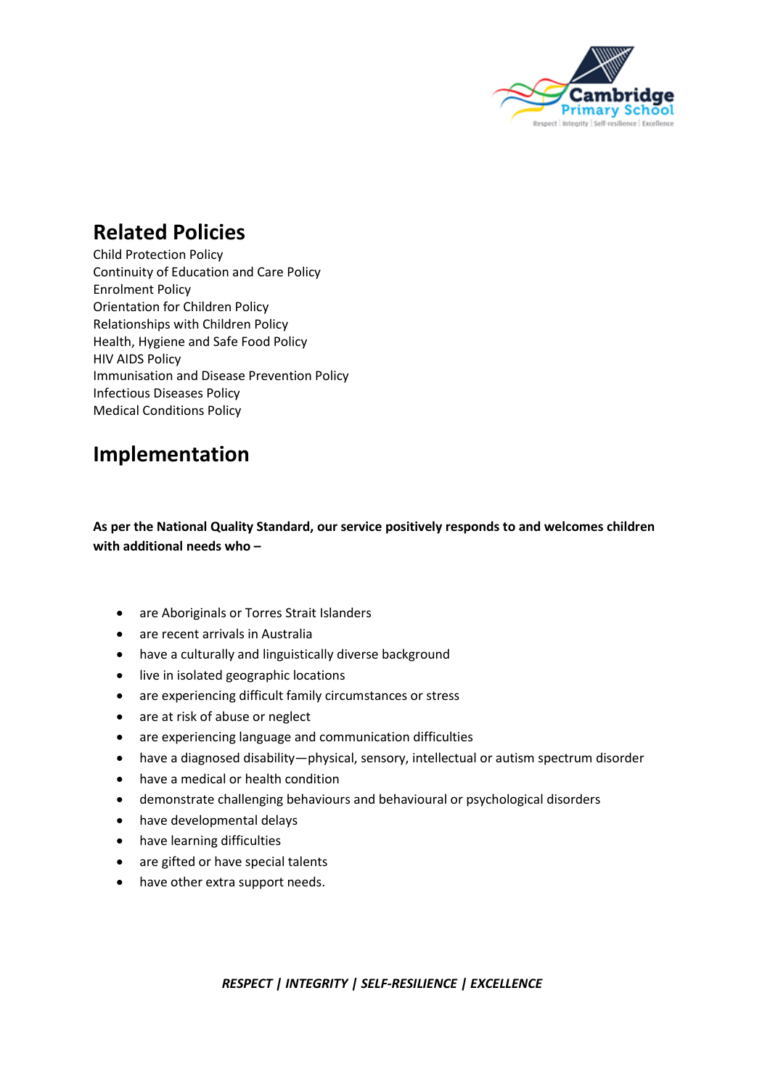

### **Related Policies**

Child Protection Policy Continuity of Education and Care Policy Enrolment Policy Orientation for Children Policy Relationships with Children Policy Health, Hygiene and Safe Food Policy HIV AIDS Policy Immunisation and Disease Prevention Policy Infectious Diseases Policy Medical Conditions Policy

## **Implementation**

**As per the National Quality Standard, our service positively responds to and welcomes children with additional needs who –**

- are Aboriginals or Torres Strait Islanders
- are recent arrivals in Australia
- have a culturally and linguistically diverse background
- live in isolated geographic locations
- are experiencing difficult family circumstances or stress
- are at risk of abuse or neglect
- are experiencing language and communication difficulties
- have a diagnosed disability—physical, sensory, intellectual or autism spectrum disorder
- have a medical or health condition
- demonstrate challenging behaviours and behavioural or psychological disorders
- have developmental delays
- have learning difficulties
- are gifted or have special talents
- have other extra support needs.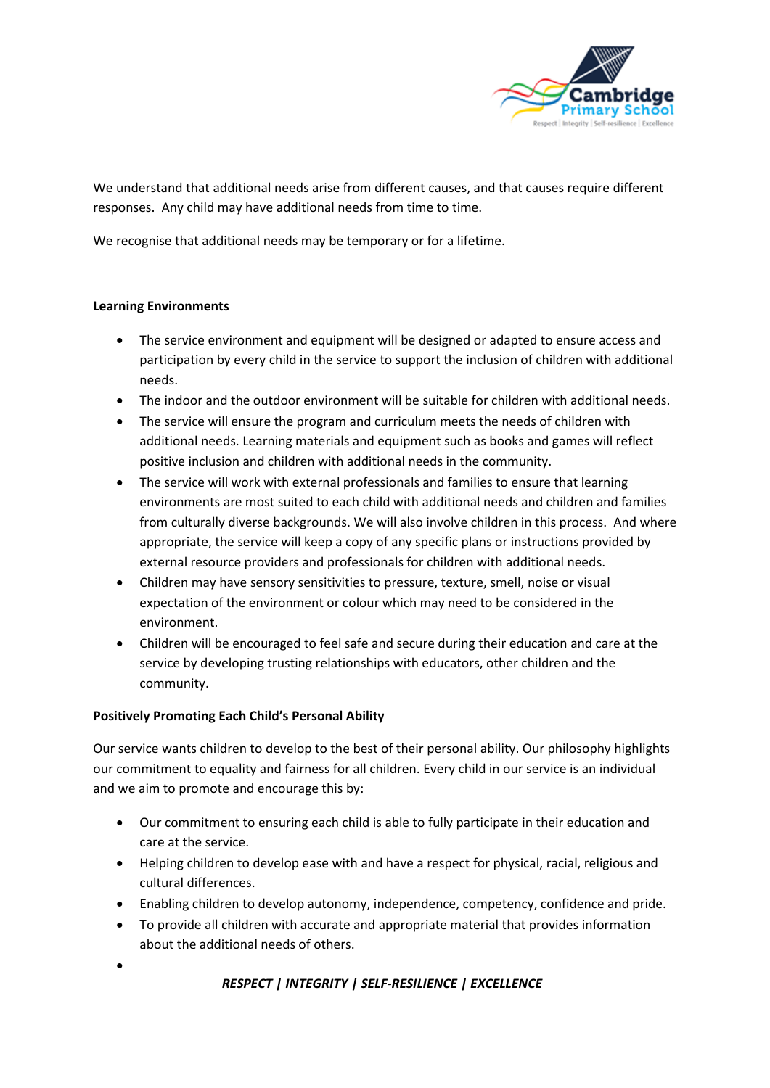

We understand that additional needs arise from different causes, and that causes require different responses. Any child may have additional needs from time to time.

We recognise that additional needs may be temporary or for a lifetime.

#### **Learning Environments**

- The service environment and equipment will be designed or adapted to ensure access and participation by every child in the service to support the inclusion of children with additional needs.
- The indoor and the outdoor environment will be suitable for children with additional needs.
- The service will ensure the program and curriculum meets the needs of children with additional needs. Learning materials and equipment such as books and games will reflect positive inclusion and children with additional needs in the community.
- The service will work with external professionals and families to ensure that learning environments are most suited to each child with additional needs and children and families from culturally diverse backgrounds. We will also involve children in this process. And where appropriate, the service will keep a copy of any specific plans or instructions provided by external resource providers and professionals for children with additional needs.
- Children may have sensory sensitivities to pressure, texture, smell, noise or visual expectation of the environment or colour which may need to be considered in the environment.
- Children will be encouraged to feel safe and secure during their education and care at the service by developing trusting relationships with educators, other children and the community.

#### **Positively Promoting Each Child's Personal Ability**

Our service wants children to develop to the best of their personal ability. Our philosophy highlights our commitment to equality and fairness for all children. Every child in our service is an individual and we aim to promote and encourage this by:

- Our commitment to ensuring each child is able to fully participate in their education and care at the service.
- Helping children to develop ease with and have a respect for physical, racial, religious and cultural differences.
- Enabling children to develop autonomy, independence, competency, confidence and pride.
- To provide all children with accurate and appropriate material that provides information about the additional needs of others.
- •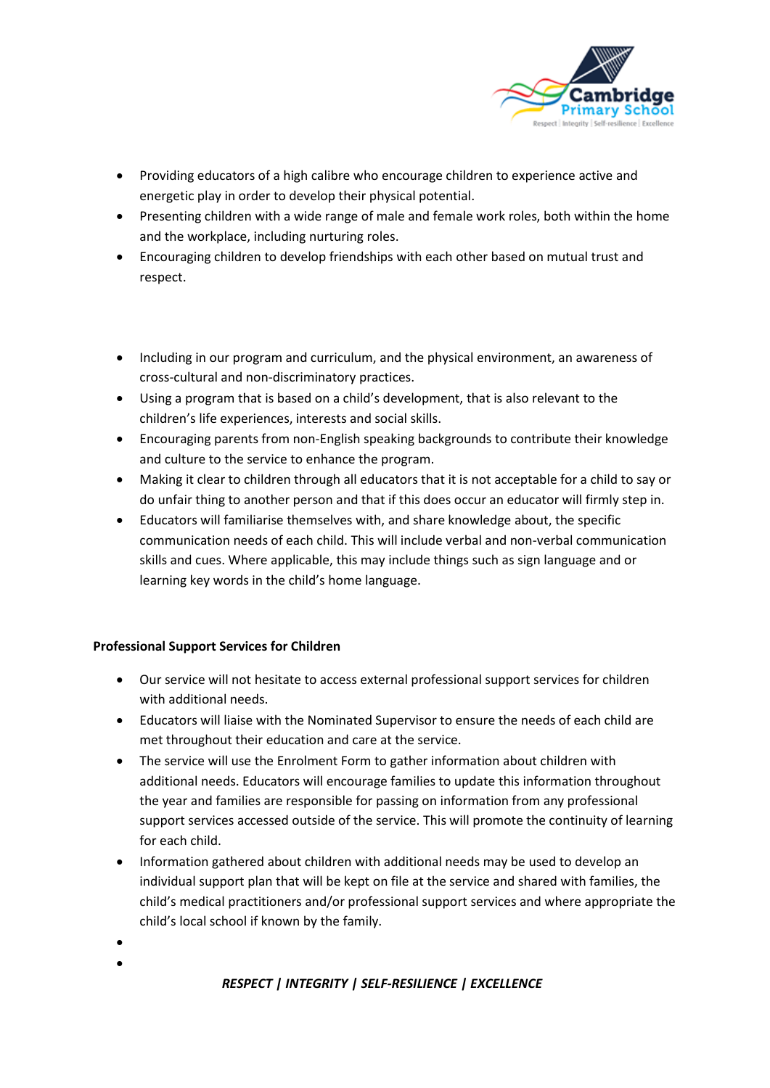

- Providing educators of a high calibre who encourage children to experience active and energetic play in order to develop their physical potential.
- Presenting children with a wide range of male and female work roles, both within the home and the workplace, including nurturing roles.
- Encouraging children to develop friendships with each other based on mutual trust and respect.

- Including in our program and curriculum, and the physical environment, an awareness of cross-cultural and non-discriminatory practices.
- Using a program that is based on a child's development, that is also relevant to the children's life experiences, interests and social skills.
- Encouraging parents from non-English speaking backgrounds to contribute their knowledge and culture to the service to enhance the program.
- Making it clear to children through all educators that it is not acceptable for a child to say or do unfair thing to another person and that if this does occur an educator will firmly step in.
- Educators will familiarise themselves with, and share knowledge about, the specific communication needs of each child. This will include verbal and non-verbal communication skills and cues. Where applicable, this may include things such as sign language and or learning key words in the child's home language.

#### **Professional Support Services for Children**

- Our service will not hesitate to access external professional support services for children with additional needs.
- Educators will liaise with the Nominated Supervisor to ensure the needs of each child are met throughout their education and care at the service.
- The service will use the Enrolment Form to gather information about children with additional needs. Educators will encourage families to update this information throughout the year and families are responsible for passing on information from any professional support services accessed outside of the service. This will promote the continuity of learning for each child.
- Information gathered about children with additional needs may be used to develop an individual support plan that will be kept on file at the service and shared with families, the child's medical practitioners and/or professional support services and where appropriate the child's local school if known by the family.
- •